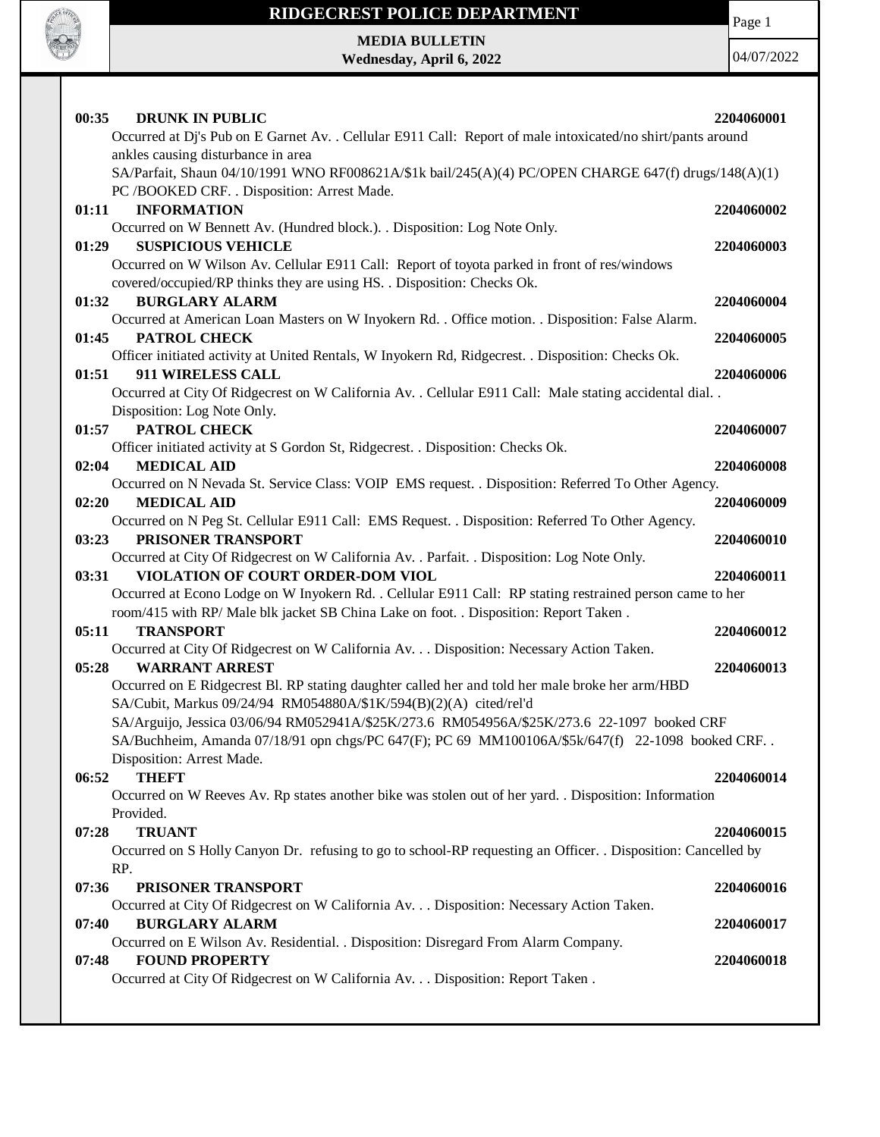

### **RIDGECREST POLICE DEPARTMENT**

Page 1

**MEDIA BULLETIN Wednesday, April 6, 2022**

| 00:35 | <b>DRUNK IN PUBLIC</b>                                                                                                           | 2204060001 |
|-------|----------------------------------------------------------------------------------------------------------------------------------|------------|
|       | Occurred at Dj's Pub on E Garnet Av. . Cellular E911 Call: Report of male intoxicated/no shirt/pants around                      |            |
|       | ankles causing disturbance in area                                                                                               |            |
|       | SA/Parfait, Shaun 04/10/1991 WNO RF008621A/\$1k bail/245(A)(4) PC/OPEN CHARGE 647(f) drugs/148(A)(1)                             |            |
|       | PC /BOOKED CRF. . Disposition: Arrest Made.                                                                                      |            |
| 01:11 | <b>INFORMATION</b>                                                                                                               | 2204060002 |
|       | Occurred on W Bennett Av. (Hundred block.). . Disposition: Log Note Only.                                                        |            |
| 01:29 | <b>SUSPICIOUS VEHICLE</b>                                                                                                        | 2204060003 |
|       | Occurred on W Wilson Av. Cellular E911 Call: Report of toyota parked in front of res/windows                                     |            |
|       | covered/occupied/RP thinks they are using HS. . Disposition: Checks Ok.                                                          |            |
| 01:32 | <b>BURGLARY ALARM</b>                                                                                                            | 2204060004 |
|       | Occurred at American Loan Masters on W Inyokern Rd. . Office motion. . Disposition: False Alarm.                                 |            |
| 01:45 | PATROL CHECK                                                                                                                     | 2204060005 |
|       | Officer initiated activity at United Rentals, W Inyokern Rd, Ridgecrest. . Disposition: Checks Ok.                               |            |
| 01:51 | <b>911 WIRELESS CALL</b>                                                                                                         | 2204060006 |
|       | Occurred at City Of Ridgecrest on W California Av. . Cellular E911 Call: Male stating accidental dial. .                         |            |
|       | Disposition: Log Note Only.                                                                                                      |            |
| 01:57 | PATROL CHECK                                                                                                                     | 2204060007 |
|       | Officer initiated activity at S Gordon St, Ridgecrest. . Disposition: Checks Ok.                                                 |            |
| 02:04 | <b>MEDICAL AID</b>                                                                                                               | 2204060008 |
|       | Occurred on N Nevada St. Service Class: VOIP EMS request. . Disposition: Referred To Other Agency.                               |            |
| 02:20 | <b>MEDICAL AID</b>                                                                                                               | 2204060009 |
|       | Occurred on N Peg St. Cellular E911 Call: EMS Request. . Disposition: Referred To Other Agency.                                  |            |
| 03:23 | PRISONER TRANSPORT                                                                                                               | 2204060010 |
| 03:31 | Occurred at City Of Ridgecrest on W California Av. . Parfait. . Disposition: Log Note Only.<br>VIOLATION OF COURT ORDER-DOM VIOL | 2204060011 |
|       | Occurred at Econo Lodge on W Inyokern Rd. . Cellular E911 Call: RP stating restrained person came to her                         |            |
|       | room/415 with RP/ Male blk jacket SB China Lake on foot. . Disposition: Report Taken.                                            |            |
| 05:11 | <b>TRANSPORT</b>                                                                                                                 | 2204060012 |
|       | Occurred at City Of Ridgecrest on W California Av. Disposition: Necessary Action Taken.                                          |            |
| 05:28 | <b>WARRANT ARREST</b>                                                                                                            | 2204060013 |
|       | Occurred on E Ridgecrest Bl. RP stating daughter called her and told her male broke her arm/HBD                                  |            |
|       | SA/Cubit, Markus 09/24/94 RM054880A/\$1K/594(B)(2)(A) cited/rel'd                                                                |            |
|       | SA/Arguijo, Jessica 03/06/94 RM052941A/\$25K/273.6 RM054956A/\$25K/273.6 22-1097 booked CRF                                      |            |
|       | SA/Buchheim, Amanda 07/18/91 opn chgs/PC 647(F); PC 69 MM100106A/\$5k/647(f) 22-1098 booked CRF.                                 |            |
|       | Disposition: Arrest Made.                                                                                                        |            |
| 06:52 | <b>THEFT</b>                                                                                                                     | 2204060014 |
|       | Occurred on W Reeves Av. Rp states another bike was stolen out of her yard. . Disposition: Information                           |            |
|       | Provided.                                                                                                                        |            |
| 07:28 | <b>TRUANT</b>                                                                                                                    | 2204060015 |
|       | Occurred on S Holly Canyon Dr. refusing to go to school-RP requesting an Officer. . Disposition: Cancelled by                    |            |
|       | RP.                                                                                                                              |            |
| 07:36 | PRISONER TRANSPORT                                                                                                               | 2204060016 |
|       | Occurred at City Of Ridgecrest on W California Av. Disposition: Necessary Action Taken.                                          |            |
| 07:40 | <b>BURGLARY ALARM</b>                                                                                                            | 2204060017 |
|       | Occurred on E Wilson Av. Residential. . Disposition: Disregard From Alarm Company.                                               |            |
| 07:48 | <b>FOUND PROPERTY</b>                                                                                                            | 2204060018 |
|       | Occurred at City Of Ridgecrest on W California Av. Disposition: Report Taken .                                                   |            |
|       |                                                                                                                                  |            |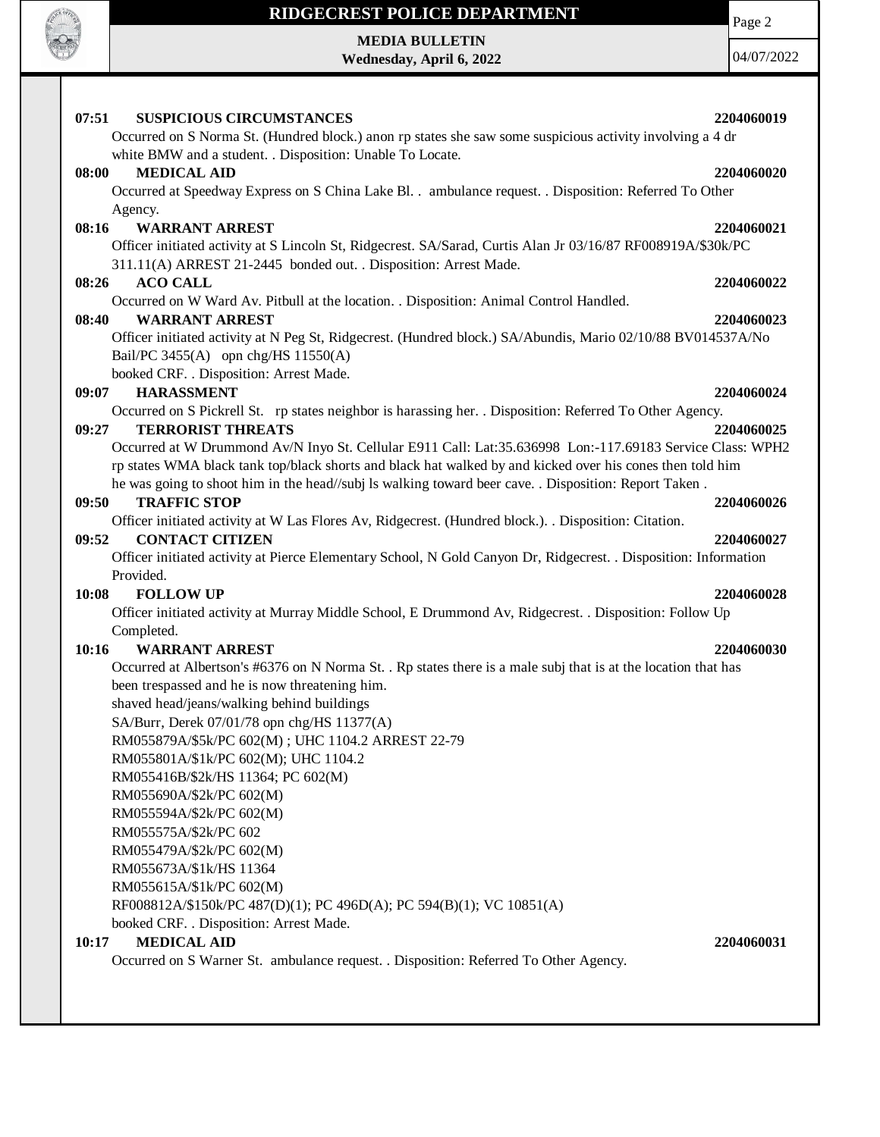

### **RIDGECREST POLICE DEPARTMENT**

**MEDIA BULLETIN Wednesday, April 6, 2022** Page 2

| 07:51 | <b>SUSPICIOUS CIRCUMSTANCES</b>                                                                                                            | 2204060019 |
|-------|--------------------------------------------------------------------------------------------------------------------------------------------|------------|
|       | Occurred on S Norma St. (Hundred block.) anon rp states she saw some suspicious activity involving a 4 dr                                  |            |
|       | white BMW and a student. . Disposition: Unable To Locate.                                                                                  |            |
| 08:00 | <b>MEDICAL AID</b>                                                                                                                         | 2204060020 |
|       | Occurred at Speedway Express on S China Lake Bl. . ambulance request. . Disposition: Referred To Other                                     |            |
|       | Agency.                                                                                                                                    |            |
| 08:16 | <b>WARRANT ARREST</b>                                                                                                                      | 2204060021 |
|       | Officer initiated activity at S Lincoln St, Ridgecrest. SA/Sarad, Curtis Alan Jr 03/16/87 RF008919A/\$30k/PC                               |            |
|       | 311.11(A) ARREST 21-2445 bonded out. . Disposition: Arrest Made.                                                                           |            |
| 08:26 | <b>ACO CALL</b>                                                                                                                            | 2204060022 |
|       | Occurred on W Ward Av. Pitbull at the location. . Disposition: Animal Control Handled.                                                     |            |
| 08:40 | <b>WARRANT ARREST</b>                                                                                                                      | 2204060023 |
|       | Officer initiated activity at N Peg St, Ridgecrest. (Hundred block.) SA/Abundis, Mario 02/10/88 BV014537A/No                               |            |
|       | Bail/PC 3455(A) opn chg/HS $11550(A)$                                                                                                      |            |
|       | booked CRF. . Disposition: Arrest Made.                                                                                                    |            |
| 09:07 | <b>HARASSMENT</b>                                                                                                                          | 2204060024 |
|       | Occurred on S Pickrell St. rp states neighbor is harassing her. . Disposition: Referred To Other Agency.                                   |            |
| 09:27 | <b>TERRORIST THREATS</b>                                                                                                                   | 2204060025 |
|       | Occurred at W Drummond Av/N Inyo St. Cellular E911 Call: Lat:35.636998 Lon:-117.69183 Service Class: WPH2                                  |            |
|       | rp states WMA black tank top/black shorts and black hat walked by and kicked over his cones then told him                                  |            |
|       | he was going to shoot him in the head//subj Is walking toward beer cave. . Disposition: Report Taken.                                      |            |
| 09:50 | <b>TRAFFIC STOP</b>                                                                                                                        | 2204060026 |
|       | Officer initiated activity at W Las Flores Av, Ridgecrest. (Hundred block.). Disposition: Citation.                                        |            |
| 09:52 | <b>CONTACT CITIZEN</b><br>Officer initiated activity at Pierce Elementary School, N Gold Canyon Dr, Ridgecrest. . Disposition: Information | 2204060027 |
|       | Provided.                                                                                                                                  |            |
| 10:08 | <b>FOLLOW UP</b>                                                                                                                           | 2204060028 |
|       | Officer initiated activity at Murray Middle School, E Drummond Av, Ridgecrest. . Disposition: Follow Up                                    |            |
|       | Completed.                                                                                                                                 |            |
| 10:16 | <b>WARRANT ARREST</b>                                                                                                                      | 2204060030 |
|       | Occurred at Albertson's #6376 on N Norma St. . Rp states there is a male subj that is at the location that has                             |            |
|       | been trespassed and he is now threatening him.                                                                                             |            |
|       | shaved head/jeans/walking behind buildings                                                                                                 |            |
|       | SA/Burr, Derek 07/01/78 opn chg/HS 11377(A)                                                                                                |            |
|       | RM055879A/\$5k/PC 602(M); UHC 1104.2 ARREST 22-79                                                                                          |            |
|       | RM055801A/\$1k/PC 602(M); UHC 1104.2                                                                                                       |            |
|       | RM055416B/\$2k/HS 11364; PC 602(M)                                                                                                         |            |
|       | RM055690A/\$2k/PC 602(M)                                                                                                                   |            |
|       | RM055594A/\$2k/PC 602(M)                                                                                                                   |            |
|       | RM055575A/\$2k/PC 602                                                                                                                      |            |
|       | RM055479A/\$2k/PC 602(M)                                                                                                                   |            |
|       | RM055673A/\$1k/HS 11364                                                                                                                    |            |
|       | RM055615A/\$1k/PC 602(M)                                                                                                                   |            |
|       | RF008812A/\$150k/PC 487(D)(1); PC 496D(A); PC 594(B)(1); VC 10851(A)                                                                       |            |
|       | booked CRF. . Disposition: Arrest Made.                                                                                                    |            |
| 10:17 | <b>MEDICAL AID</b>                                                                                                                         | 2204060031 |
|       | Occurred on S Warner St. ambulance request. . Disposition: Referred To Other Agency.                                                       |            |
|       |                                                                                                                                            |            |
|       |                                                                                                                                            |            |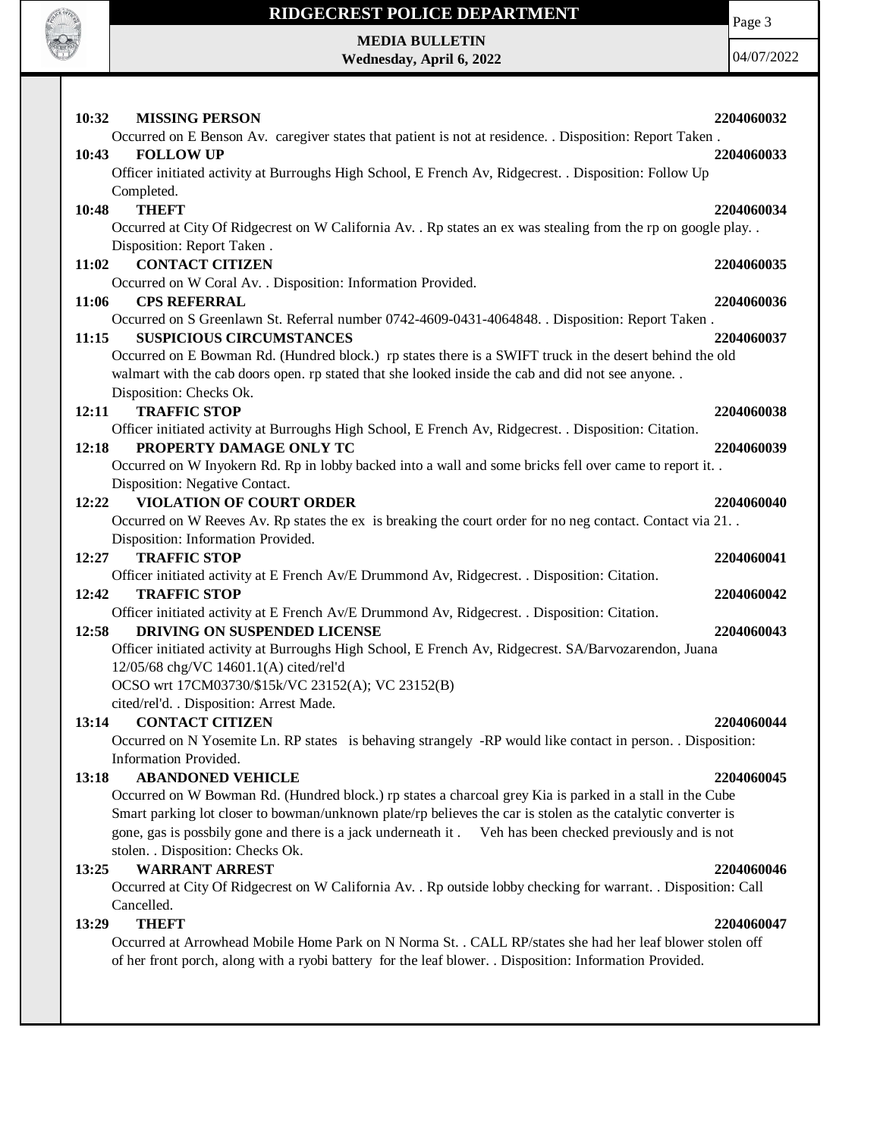

# **RIDGECREST POLICE DEPARTMENT MEDIA BULLETIN**

**Wednesday, April 6, 2022**

Page 3

| <b>MISSING PERSON</b><br>10:32                                                                                                                | 2204060032 |
|-----------------------------------------------------------------------------------------------------------------------------------------------|------------|
| Occurred on E Benson Av. caregiver states that patient is not at residence. . Disposition: Report Taken.                                      |            |
| <b>FOLLOW UP</b><br>10:43                                                                                                                     | 2204060033 |
| Officer initiated activity at Burroughs High School, E French Av, Ridgecrest. . Disposition: Follow Up                                        |            |
| Completed.                                                                                                                                    |            |
| <b>THEFT</b><br>10:48                                                                                                                         | 2204060034 |
| Occurred at City Of Ridgecrest on W California Av. . Rp states an ex was stealing from the rp on google play. .<br>Disposition: Report Taken. |            |
| <b>CONTACT CITIZEN</b><br>11:02                                                                                                               | 2204060035 |
| Occurred on W Coral Av. . Disposition: Information Provided.                                                                                  |            |
| 11:06<br><b>CPS REFERRAL</b>                                                                                                                  | 2204060036 |
| Occurred on S Greenlawn St. Referral number 0742-4609-0431-4064848. . Disposition: Report Taken.                                              |            |
| <b>SUSPICIOUS CIRCUMSTANCES</b><br>11:15                                                                                                      | 2204060037 |
| Occurred on E Bowman Rd. (Hundred block.) rp states there is a SWIFT truck in the desert behind the old                                       |            |
| walmart with the cab doors open. rp stated that she looked inside the cab and did not see anyone                                              |            |
| Disposition: Checks Ok.                                                                                                                       |            |
| <b>TRAFFIC STOP</b><br>12:11                                                                                                                  | 2204060038 |
| Officer initiated activity at Burroughs High School, E French Av, Ridgecrest. . Disposition: Citation.                                        |            |
| PROPERTY DAMAGE ONLY TC<br>12:18                                                                                                              | 2204060039 |
| Occurred on W Inyokern Rd. Rp in lobby backed into a wall and some bricks fell over came to report it. .                                      |            |
| Disposition: Negative Contact.                                                                                                                |            |
| <b>VIOLATION OF COURT ORDER</b><br>12:22                                                                                                      | 2204060040 |
| Occurred on W Reeves Av. Rp states the ex is breaking the court order for no neg contact. Contact via 21. .                                   |            |
| Disposition: Information Provided.                                                                                                            |            |
| <b>TRAFFIC STOP</b><br>12:27                                                                                                                  | 2204060041 |
| Officer initiated activity at E French Av/E Drummond Av, Ridgecrest. . Disposition: Citation.                                                 |            |
| <b>TRAFFIC STOP</b><br>12:42                                                                                                                  | 2204060042 |
| Officer initiated activity at E French Av/E Drummond Av, Ridgecrest. . Disposition: Citation.                                                 |            |
| DRIVING ON SUSPENDED LICENSE<br>12:58                                                                                                         | 2204060043 |
| Officer initiated activity at Burroughs High School, E French Av, Ridgecrest. SA/Barvozarendon, Juana                                         |            |
| 12/05/68 chg/VC 14601.1(A) cited/rel'd                                                                                                        |            |
| OCSO wrt 17CM03730/\$15k/VC 23152(A); VC 23152(B)                                                                                             |            |
| cited/rel'd. . Disposition: Arrest Made.                                                                                                      |            |
| <b>CONTACT CITIZEN</b><br>13:14                                                                                                               | 2204060044 |
| Occurred on N Yosemite Ln. RP states is behaving strangely -RP would like contact in person. . Disposition:                                   |            |
| Information Provided.<br><b>ABANDONED VEHICLE</b>                                                                                             |            |
| 13:18<br>Occurred on W Bowman Rd. (Hundred block.) rp states a charcoal grey Kia is parked in a stall in the Cube                             | 2204060045 |
| Smart parking lot closer to bowman/unknown plate/rp believes the car is stolen as the catalytic converter is                                  |            |
| gone, gas is possbily gone and there is a jack underneath it. Veh has been checked previously and is not                                      |            |
| stolen. . Disposition: Checks Ok.                                                                                                             |            |
| <b>WARRANT ARREST</b><br>13:25                                                                                                                | 2204060046 |
| Occurred at City Of Ridgecrest on W California Av. . Rp outside lobby checking for warrant. . Disposition: Call                               |            |
| Cancelled.                                                                                                                                    |            |
| <b>THEFT</b><br>13:29                                                                                                                         | 2204060047 |
| Occurred at Arrowhead Mobile Home Park on N Norma St. . CALL RP/states she had her leaf blower stolen off                                     |            |
| of her front porch, along with a ryobi battery for the leaf blower. . Disposition: Information Provided.                                      |            |
|                                                                                                                                               |            |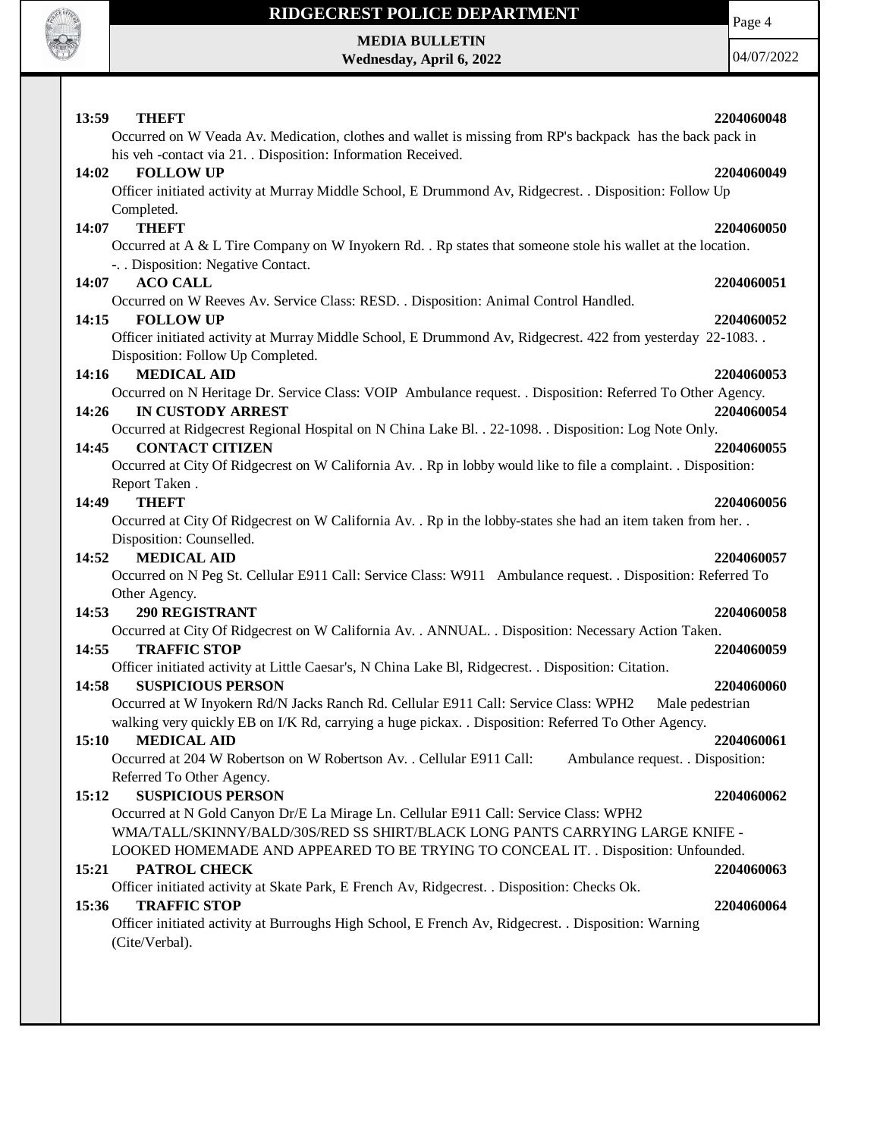

 $\mathbf{I}$ 

## **RIDGECREST POLICE DEPARTMENT**

**MEDIA BULLETIN Wednesday, April 6, 2022** Page 4

| 13:59<br><b>THEFT</b>                                                                                           | 2204060048 |
|-----------------------------------------------------------------------------------------------------------------|------------|
| Occurred on W Veada Av. Medication, clothes and wallet is missing from RP's backpack has the back pack in       |            |
| his veh -contact via 21. Disposition: Information Received.                                                     |            |
| <b>FOLLOW UP</b><br>14:02                                                                                       | 2204060049 |
| Officer initiated activity at Murray Middle School, E Drummond Av, Ridgecrest. . Disposition: Follow Up         |            |
| Completed.                                                                                                      |            |
| <b>THEFT</b>                                                                                                    |            |
| 14:07                                                                                                           | 2204060050 |
| Occurred at A & L Tire Company on W Inyokern Rd. . Rp states that someone stole his wallet at the location.     |            |
| -. . Disposition: Negative Contact.                                                                             |            |
| <b>ACO CALL</b><br>14:07                                                                                        | 2204060051 |
| Occurred on W Reeves Av. Service Class: RESD. . Disposition: Animal Control Handled.                            |            |
| 14:15<br><b>FOLLOW UP</b>                                                                                       | 2204060052 |
| Officer initiated activity at Murray Middle School, E Drummond Av, Ridgecrest. 422 from yesterday 22-1083. .    |            |
| Disposition: Follow Up Completed.                                                                               |            |
| <b>MEDICAL AID</b><br>14:16                                                                                     | 2204060053 |
| Occurred on N Heritage Dr. Service Class: VOIP Ambulance request. . Disposition: Referred To Other Agency.      |            |
| <b>IN CUSTODY ARREST</b><br>14:26                                                                               | 2204060054 |
|                                                                                                                 |            |
| Occurred at Ridgecrest Regional Hospital on N China Lake Bl. . 22-1098. . Disposition: Log Note Only.           |            |
| <b>CONTACT CITIZEN</b><br>14:45                                                                                 | 2204060055 |
| Occurred at City Of Ridgecrest on W California Av. . Rp in lobby would like to file a complaint. . Disposition: |            |
| Report Taken.                                                                                                   |            |
| <b>THEFT</b><br>14:49                                                                                           | 2204060056 |
| Occurred at City Of Ridgecrest on W California Av. . Rp in the lobby-states she had an item taken from her. .   |            |
| Disposition: Counselled.                                                                                        |            |
| <b>MEDICAL AID</b><br>14:52                                                                                     | 2204060057 |
| Occurred on N Peg St. Cellular E911 Call: Service Class: W911 Ambulance request. . Disposition: Referred To     |            |
| Other Agency.                                                                                                   |            |
| 14:53<br><b>290 REGISTRANT</b>                                                                                  | 2204060058 |
| Occurred at City Of Ridgecrest on W California Av. . ANNUAL. . Disposition: Necessary Action Taken.             |            |
|                                                                                                                 |            |
| 14:55<br><b>TRAFFIC STOP</b>                                                                                    | 2204060059 |
| Officer initiated activity at Little Caesar's, N China Lake Bl, Ridgecrest. . Disposition: Citation.            |            |
| 14:58<br><b>SUSPICIOUS PERSON</b>                                                                               | 2204060060 |
| Occurred at W Inyokern Rd/N Jacks Ranch Rd. Cellular E911 Call: Service Class: WPH2<br>Male pedestrian          |            |
| walking very quickly EB on I/K Rd, carrying a huge pickax. . Disposition: Referred To Other Agency.             |            |
| 15:10 MEDICAL AID                                                                                               | 2204060061 |
| Occurred at 204 W Robertson on W Robertson Av. . Cellular E911 Call:<br>Ambulance request. . Disposition:       |            |
| Referred To Other Agency.                                                                                       |            |
| <b>SUSPICIOUS PERSON</b><br>15:12                                                                               | 2204060062 |
| Occurred at N Gold Canyon Dr/E La Mirage Ln. Cellular E911 Call: Service Class: WPH2                            |            |
| WMA/TALL/SKINNY/BALD/30S/RED SS SHIRT/BLACK LONG PANTS CARRYING LARGE KNIFE -                                   |            |
|                                                                                                                 |            |
| LOOKED HOMEMADE AND APPEARED TO BE TRYING TO CONCEAL IT. . Disposition: Unfounded.                              |            |
| PATROL CHECK<br>15:21                                                                                           | 2204060063 |
| Officer initiated activity at Skate Park, E French Av, Ridgecrest. . Disposition: Checks Ok.                    |            |
| <b>TRAFFIC STOP</b><br>15:36                                                                                    | 2204060064 |
| Officer initiated activity at Burroughs High School, E French Av, Ridgecrest. . Disposition: Warning            |            |
| (Cite/Verbal).                                                                                                  |            |
|                                                                                                                 |            |
|                                                                                                                 |            |
|                                                                                                                 |            |
|                                                                                                                 |            |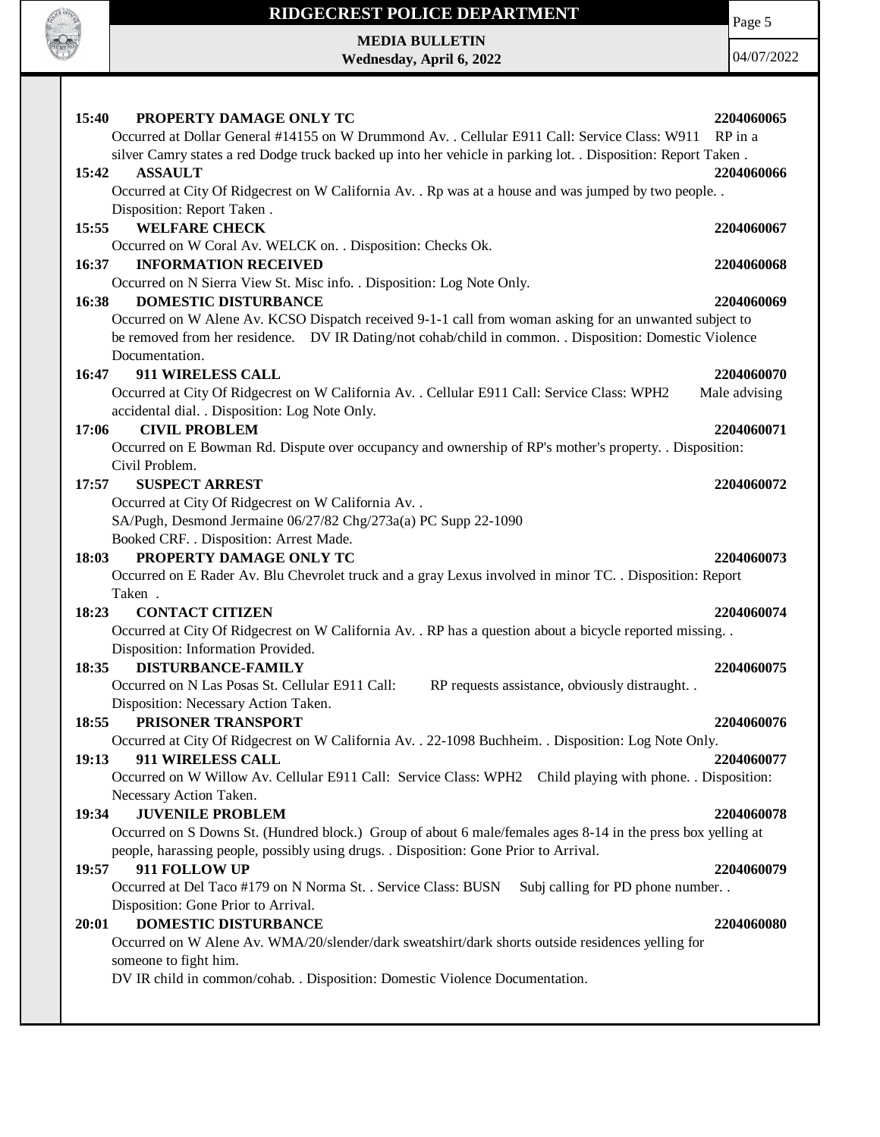

# **RIDGECREST POLICE DEPARTMENT MEDIA BULLETIN**

**Wednesday, April 6, 2022**

Page 5

| 15:40<br>PROPERTY DAMAGE ONLY TC                                                                                  | 2204060065    |
|-------------------------------------------------------------------------------------------------------------------|---------------|
| Occurred at Dollar General #14155 on W Drummond Av. . Cellular E911 Call: Service Class: W911                     | RP in a       |
| silver Camry states a red Dodge truck backed up into her vehicle in parking lot. . Disposition: Report Taken.     |               |
| <b>ASSAULT</b><br>15:42                                                                                           | 2204060066    |
| Occurred at City Of Ridgecrest on W California Av. . Rp was at a house and was jumped by two people. .            |               |
| Disposition: Report Taken.                                                                                        |               |
| <b>WELFARE CHECK</b><br>15:55                                                                                     | 2204060067    |
| Occurred on W Coral Av. WELCK on. . Disposition: Checks Ok.                                                       |               |
| <b>INFORMATION RECEIVED</b><br>16:37                                                                              | 2204060068    |
| Occurred on N Sierra View St. Misc info. . Disposition: Log Note Only.                                            |               |
| 16:38<br><b>DOMESTIC DISTURBANCE</b>                                                                              | 2204060069    |
| Occurred on W Alene Av. KCSO Dispatch received 9-1-1 call from woman asking for an unwanted subject to            |               |
| be removed from her residence. DV IR Dating/not cohab/child in common. . Disposition: Domestic Violence           |               |
| Documentation.                                                                                                    |               |
| 16:47<br><b>911 WIRELESS CALL</b>                                                                                 | 2204060070    |
| Occurred at City Of Ridgecrest on W California Av. . Cellular E911 Call: Service Class: WPH2                      | Male advising |
| accidental dial. . Disposition: Log Note Only.                                                                    |               |
| <b>CIVIL PROBLEM</b><br>17:06                                                                                     | 2204060071    |
| Occurred on E Bowman Rd. Dispute over occupancy and ownership of RP's mother's property. . Disposition:           |               |
| Civil Problem.                                                                                                    |               |
| <b>SUSPECT ARREST</b><br>17:57                                                                                    | 2204060072    |
| Occurred at City Of Ridgecrest on W California Av. .                                                              |               |
| SA/Pugh, Desmond Jermaine 06/27/82 Chg/273a(a) PC Supp 22-1090                                                    |               |
| Booked CRF. . Disposition: Arrest Made.<br>PROPERTY DAMAGE ONLY TC                                                |               |
| 18:03<br>Occurred on E Rader Av. Blu Chevrolet truck and a gray Lexus involved in minor TC. . Disposition: Report | 2204060073    |
| Taken.                                                                                                            |               |
| <b>CONTACT CITIZEN</b><br>18:23                                                                                   | 2204060074    |
| Occurred at City Of Ridgecrest on W California Av. . RP has a question about a bicycle reported missing. .        |               |
| Disposition: Information Provided.                                                                                |               |
| <b>DISTURBANCE-FAMILY</b><br>18:35                                                                                | 2204060075    |
| Occurred on N Las Posas St. Cellular E911 Call:<br>RP requests assistance, obviously distraught. .                |               |
| Disposition: Necessary Action Taken.                                                                              |               |
| PRISONER TRANSPORT<br>18:55                                                                                       | 2204060076    |
| Occurred at City Of Ridgecrest on W California Av. . 22-1098 Buchheim. . Disposition: Log Note Only.              |               |
| 911 WIRELESS CALL<br>19:13                                                                                        | 2204060077    |
| Occurred on W Willow Av. Cellular E911 Call: Service Class: WPH2 Child playing with phone. . Disposition:         |               |
| Necessary Action Taken.                                                                                           |               |
| 19:34<br><b>JUVENILE PROBLEM</b>                                                                                  | 2204060078    |
| Occurred on S Downs St. (Hundred block.) Group of about 6 male/females ages 8-14 in the press box yelling at      |               |
| people, harassing people, possibly using drugs. . Disposition: Gone Prior to Arrival.                             |               |
| 911 FOLLOW UP<br>19:57                                                                                            | 2204060079    |
| Occurred at Del Taco #179 on N Norma St. . Service Class: BUSN<br>Subj calling for PD phone number                |               |
| Disposition: Gone Prior to Arrival.                                                                               |               |
| DOMESTIC DISTURBANCE<br>20:01                                                                                     | 2204060080    |
| Occurred on W Alene Av. WMA/20/slender/dark sweatshirt/dark shorts outside residences yelling for                 |               |
| someone to fight him.                                                                                             |               |
| DV IR child in common/cohab. . Disposition: Domestic Violence Documentation.                                      |               |
|                                                                                                                   |               |
|                                                                                                                   |               |